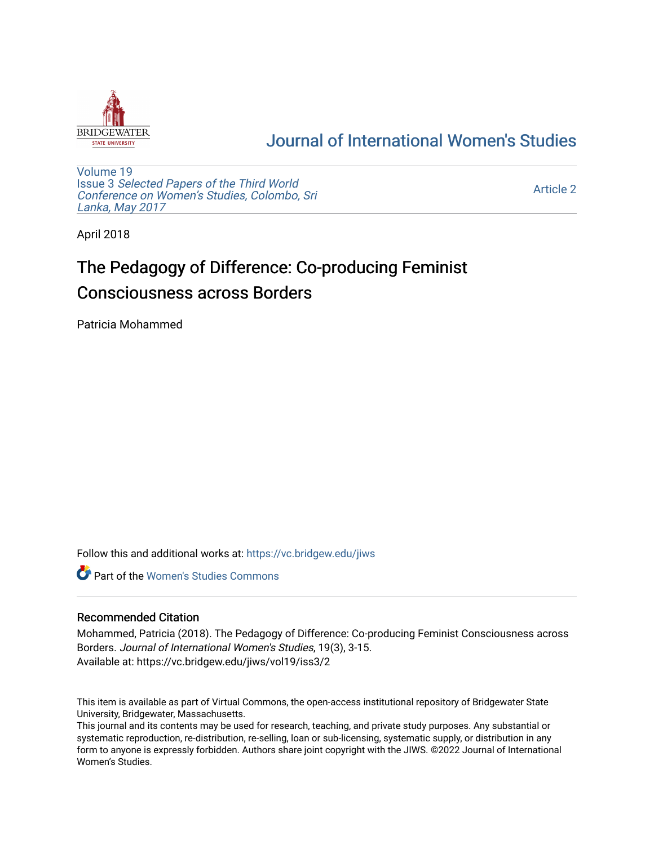

## [Journal of International Women's Studies](https://vc.bridgew.edu/jiws)

[Volume 19](https://vc.bridgew.edu/jiws/vol19) Issue 3 [Selected Papers of the Third World](https://vc.bridgew.edu/jiws/vol19/iss3) [Conference on Women's Studies, Colombo, Sri](https://vc.bridgew.edu/jiws/vol19/iss3)  [Lanka, May 2017](https://vc.bridgew.edu/jiws/vol19/iss3) 

[Article 2](https://vc.bridgew.edu/jiws/vol19/iss3/2) 

April 2018

# The Pedagogy of Difference: Co-producing Feminist Consciousness across Borders

Patricia Mohammed

Follow this and additional works at: [https://vc.bridgew.edu/jiws](https://vc.bridgew.edu/jiws?utm_source=vc.bridgew.edu%2Fjiws%2Fvol19%2Fiss3%2F2&utm_medium=PDF&utm_campaign=PDFCoverPages)

**C** Part of the Women's Studies Commons

#### Recommended Citation

Mohammed, Patricia (2018). The Pedagogy of Difference: Co-producing Feminist Consciousness across Borders. Journal of International Women's Studies, 19(3), 3-15. Available at: https://vc.bridgew.edu/jiws/vol19/iss3/2

This item is available as part of Virtual Commons, the open-access institutional repository of Bridgewater State University, Bridgewater, Massachusetts.

This journal and its contents may be used for research, teaching, and private study purposes. Any substantial or systematic reproduction, re-distribution, re-selling, loan or sub-licensing, systematic supply, or distribution in any form to anyone is expressly forbidden. Authors share joint copyright with the JIWS. ©2022 Journal of International Women's Studies.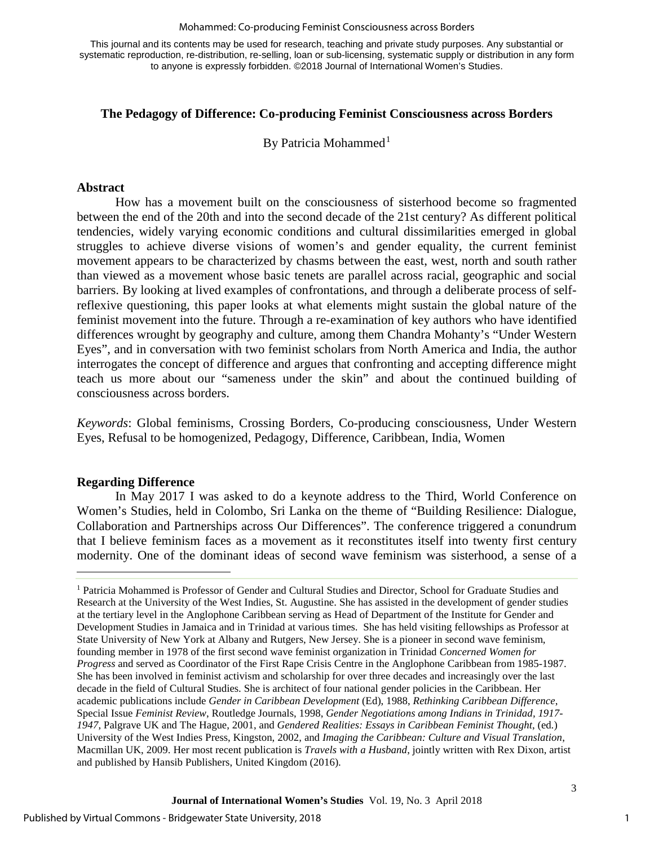#### Mohammed: Co-producing Feminist Consciousness across Borders

This journal and its contents may be used for research, teaching and private study purposes. Any substantial or systematic reproduction, re-distribution, re-selling, loan or sub-licensing, systematic supply or distribution in any form to anyone is expressly forbidden. ©2018 Journal of International Women's Studies.

#### **The Pedagogy of Difference: Co-producing Feminist Consciousness across Borders**

By Patricia Mohammed<sup>[1](#page-1-0)</sup>

#### **Abstract**

How has a movement built on the consciousness of sisterhood become so fragmented between the end of the 20th and into the second decade of the 21st century? As different political tendencies, widely varying economic conditions and cultural dissimilarities emerged in global struggles to achieve diverse visions of women's and gender equality, the current feminist movement appears to be characterized by chasms between the east, west, north and south rather than viewed as a movement whose basic tenets are parallel across racial, geographic and social barriers. By looking at lived examples of confrontations, and through a deliberate process of selfreflexive questioning, this paper looks at what elements might sustain the global nature of the feminist movement into the future. Through a re-examination of key authors who have identified differences wrought by geography and culture, among them Chandra Mohanty's "Under Western Eyes", and in conversation with two feminist scholars from North America and India, the author interrogates the concept of difference and argues that confronting and accepting difference might teach us more about our "sameness under the skin" and about the continued building of consciousness across borders.

*Keywords*: Global feminisms, Crossing Borders, Co-producing consciousness, Under Western Eyes, Refusal to be homogenized, Pedagogy, Difference, Caribbean, India, Women

#### **Regarding Difference**

In May 2017 I was asked to do a keynote address to the Third, World Conference on Women's Studies, held in Colombo, Sri Lanka on the theme of "Building Resilience: Dialogue, Collaboration and Partnerships across Our Differences". The conference triggered a conundrum that I believe feminism faces as a movement as it reconstitutes itself into twenty first century modernity. One of the dominant ideas of second wave feminism was sisterhood, a sense of a

<span id="page-1-0"></span><sup>&</sup>lt;sup>1</sup> Patricia Mohammed is Professor of Gender and Cultural Studies and Director, School for Graduate Studies and Research at the University of the West Indies, St. Augustine. She has assisted in the development of gender studies at the tertiary level in the Anglophone Caribbean serving as Head of Department of the Institute for Gender and Development Studies in Jamaica and in Trinidad at various times. She has held visiting fellowships as Professor at State University of New York at Albany and Rutgers, New Jersey. She is a pioneer in second wave feminism, founding member in 1978 of the first second wave feminist organization in Trinidad *Concerned Women for Progress* and served as Coordinator of the First Rape Crisis Centre in the Anglophone Caribbean from 1985-1987. She has been involved in feminist activism and scholarship for over three decades and increasingly over the last decade in the field of Cultural Studies. She is architect of four national gender policies in the Caribbean. Her academic publications include *Gender in Caribbean Development* (Ed), 1988, *Rethinking Caribbean Difference*, Special Issue *Feminist Review*, Routledge Journals, 1998, *Gender Negotiations among Indians in Trinidad, 1917- 1947*, Palgrave UK and The Hague, 2001, and *Gendered Realities: Essays in Caribbean Feminist Thought*, (ed.) University of the West Indies Press, Kingston, 2002, and *Imaging the Caribbean: Culture and Visual Translation*, Macmillan UK, 2009. Her most recent publication is *Travels with a Husband*, jointly written with Rex Dixon, artist and published by Hansib Publishers, United Kingdom (2016).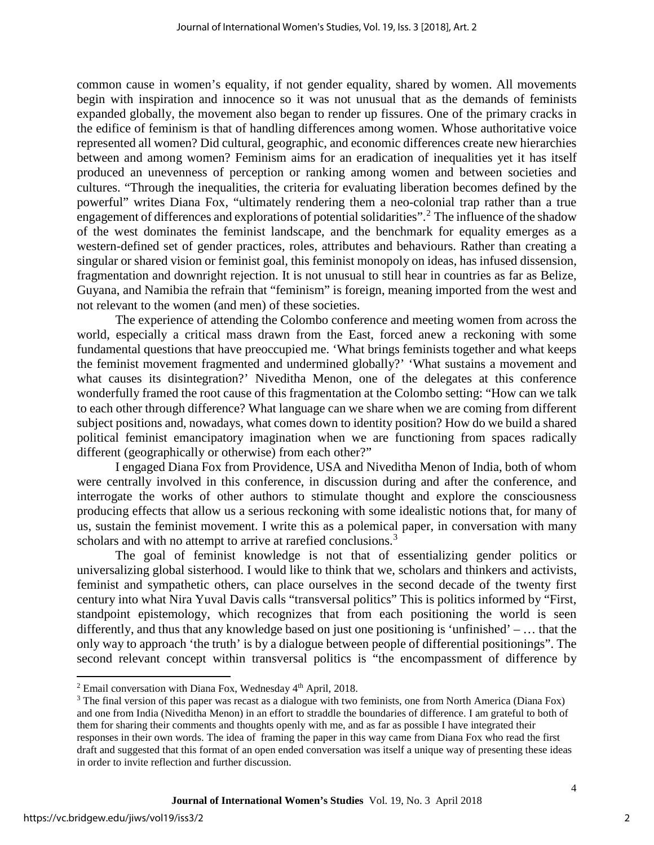common cause in women's equality, if not gender equality, shared by women. All movements begin with inspiration and innocence so it was not unusual that as the demands of feminists expanded globally, the movement also began to render up fissures. One of the primary cracks in the edifice of feminism is that of handling differences among women. Whose authoritative voice represented all women? Did cultural, geographic, and economic differences create new hierarchies between and among women? Feminism aims for an eradication of inequalities yet it has itself produced an unevenness of perception or ranking among women and between societies and cultures. "Through the inequalities, the criteria for evaluating liberation becomes defined by the powerful" writes Diana Fox, "ultimately rendering them a neo-colonial trap rather than a true engagement of differences and explorations of potential solidarities".<sup>[2](#page-2-0)</sup> The influence of the shadow of the west dominates the feminist landscape, and the benchmark for equality emerges as a western-defined set of gender practices, roles, attributes and behaviours. Rather than creating a singular or shared vision or feminist goal, this feminist monopoly on ideas, has infused dissension, fragmentation and downright rejection. It is not unusual to still hear in countries as far as Belize, Guyana, and Namibia the refrain that "feminism" is foreign, meaning imported from the west and not relevant to the women (and men) of these societies.

The experience of attending the Colombo conference and meeting women from across the world, especially a critical mass drawn from the East, forced anew a reckoning with some fundamental questions that have preoccupied me. 'What brings feminists together and what keeps the feminist movement fragmented and undermined globally?' 'What sustains a movement and what causes its disintegration?' Niveditha Menon, one of the delegates at this conference wonderfully framed the root cause of this fragmentation at the Colombo setting: "How can we talk to each other through difference? What language can we share when we are coming from different subject positions and, nowadays, what comes down to identity position? How do we build a shared political feminist emancipatory imagination when we are functioning from spaces radically different (geographically or otherwise) from each other?"

I engaged Diana Fox from Providence, USA and Niveditha Menon of India, both of whom were centrally involved in this conference, in discussion during and after the conference, and interrogate the works of other authors to stimulate thought and explore the consciousness producing effects that allow us a serious reckoning with some idealistic notions that, for many of us, sustain the feminist movement. I write this as a polemical paper, in conversation with many scholars and with no attempt to arrive at rarefied conclusions.<sup>[3](#page-2-1)</sup>

The goal of feminist knowledge is not that of essentializing gender politics or universalizing global sisterhood. I would like to think that we, scholars and thinkers and activists, feminist and sympathetic others, can place ourselves in the second decade of the twenty first century into what Nira Yuval Davis calls "transversal politics" This is politics informed by "First, standpoint epistemology, which recognizes that from each positioning the world is seen differently, and thus that any knowledge based on just one positioning is 'unfinished' – … that the only way to approach 'the truth' is by a dialogue between people of differential positionings". The second relevant concept within transversal politics is "the encompassment of difference by

 $\overline{\phantom{a}}$ <sup>2</sup> Email conversation with Diana Fox, Wednesday  $4<sup>th</sup>$  April, 2018.

<span id="page-2-1"></span><span id="page-2-0"></span><sup>&</sup>lt;sup>3</sup> The final version of this paper was recast as a dialogue with two feminists, one from North America (Diana Fox) and one from India (Niveditha Menon) in an effort to straddle the boundaries of difference. I am grateful to both of them for sharing their comments and thoughts openly with me, and as far as possible I have integrated their responses in their own words. The idea of framing the paper in this way came from Diana Fox who read the first draft and suggested that this format of an open ended conversation was itself a unique way of presenting these ideas in order to invite reflection and further discussion.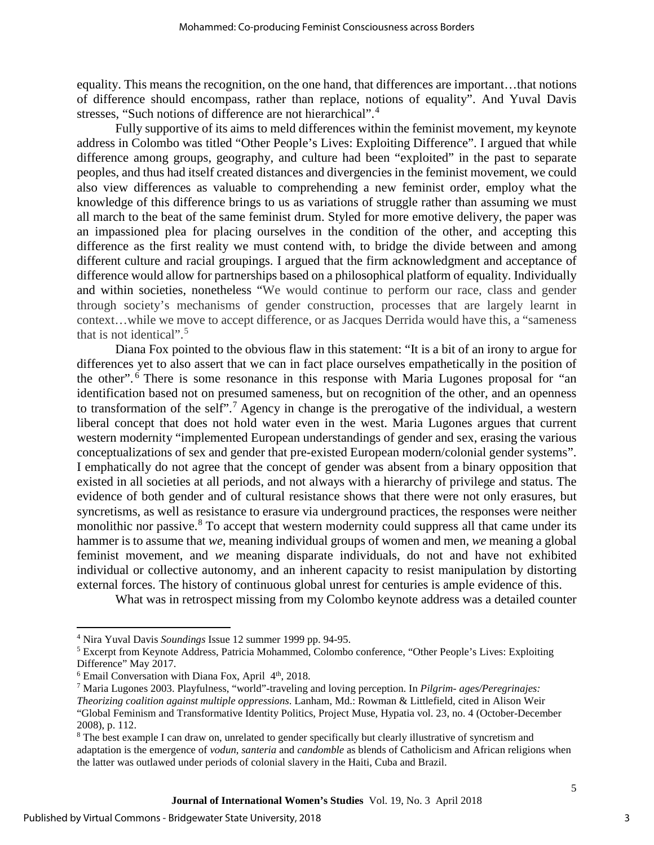equality. This means the recognition, on the one hand, that differences are important…that notions of difference should encompass, rather than replace, notions of equality". And Yuval Davis stresses, "Such notions of difference are not hierarchical".[4](#page-3-0)

Fully supportive of its aims to meld differences within the feminist movement, my keynote address in Colombo was titled "Other People's Lives: Exploiting Difference". I argued that while difference among groups, geography, and culture had been "exploited" in the past to separate peoples, and thus had itself created distances and divergencies in the feminist movement, we could also view differences as valuable to comprehending a new feminist order, employ what the knowledge of this difference brings to us as variations of struggle rather than assuming we must all march to the beat of the same feminist drum. Styled for more emotive delivery, the paper was an impassioned plea for placing ourselves in the condition of the other, and accepting this difference as the first reality we must contend with, to bridge the divide between and among different culture and racial groupings. I argued that the firm acknowledgment and acceptance of difference would allow for partnerships based on a philosophical platform of equality. Individually and within societies, nonetheless "We would continue to perform our race, class and gender through society's mechanisms of gender construction, processes that are largely learnt in context…while we move to accept difference, or as Jacques Derrida would have this, a "sameness that is not identical".[5](#page-3-1)

Diana Fox pointed to the obvious flaw in this statement: "It is a bit of an irony to argue for differences yet to also assert that we can in fact place ourselves empathetically in the position of the other". [6](#page-3-2) There is some resonance in this response with Maria Lugones proposal for "an identification based not on presumed sameness, but on recognition of the other, and an openness to transformation of the self".<sup>[7](#page-3-3)</sup> Agency in change is the prerogative of the individual, a western liberal concept that does not hold water even in the west. Maria Lugones argues that current western modernity "implemented European understandings of gender and sex, erasing the various conceptualizations of sex and gender that pre-existed European modern/colonial gender systems". I emphatically do not agree that the concept of gender was absent from a binary opposition that existed in all societies at all periods, and not always with a hierarchy of privilege and status. The evidence of both gender and of cultural resistance shows that there were not only erasures, but syncretisms, as well as resistance to erasure via underground practices, the responses were neither monolithic nor passive.<sup>[8](#page-3-4)</sup> To accept that western modernity could suppress all that came under its hammer is to assume that *we*, meaning individual groups of women and men, *we* meaning a global feminist movement, and *we* meaning disparate individuals, do not and have not exhibited individual or collective autonomy, and an inherent capacity to resist manipulation by distorting external forces. The history of continuous global unrest for centuries is ample evidence of this.

What was in retrospect missing from my Colombo keynote address was a detailed counter

 $\overline{\phantom{a}}$ <sup>4</sup> Nira Yuval Davis *Soundings* Issue 12 summer 1999 pp. 94-95.

<span id="page-3-1"></span><span id="page-3-0"></span><sup>5</sup> Excerpt from Keynote Address, Patricia Mohammed, Colombo conference, "Other People's Lives: Exploiting Difference" May 2017.

<span id="page-3-2"></span> $6$  Email Conversation with Diana Fox, April  $4<sup>th</sup>$ , 2018.

<span id="page-3-3"></span><sup>7</sup> Maria Lugones 2003. Playfulness, "world"-traveling and loving perception. In *Pilgrim- ages/Peregrinajes:* 

*Theorizing coalition against multiple oppressions*. Lanham, Md.: Rowman & Littlefield, cited in Alison Weir "Global Feminism and Transformative Identity Politics, Project Muse, Hypatia vol. 23, no. 4 (October-December 2008), p. 112.

<span id="page-3-4"></span><sup>&</sup>lt;sup>8</sup> The best example I can draw on, unrelated to gender specifically but clearly illustrative of syncretism and adaptation is the emergence of *vodun*, *santeria* and *candomble* as blends of Catholicism and African religions when the latter was outlawed under periods of colonial slavery in the Haiti, Cuba and Brazil.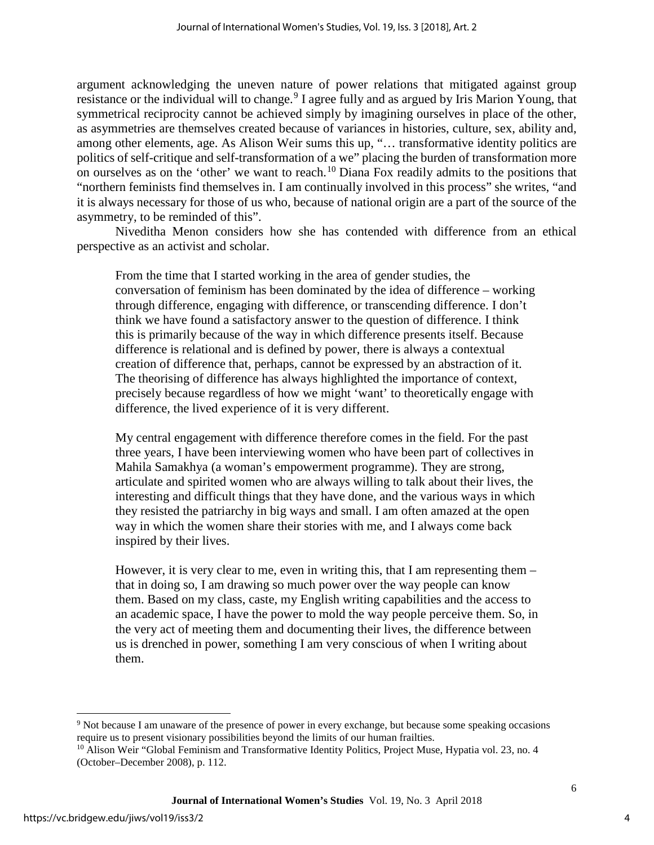argument acknowledging the uneven nature of power relations that mitigated against group resistance or the individual will to change.<sup>[9](#page-4-0)</sup> I agree fully and as argued by Iris Marion Young, that symmetrical reciprocity cannot be achieved simply by imagining ourselves in place of the other, as asymmetries are themselves created because of variances in histories, culture, sex, ability and, among other elements, age. As Alison Weir sums this up, "… transformative identity politics are politics of self-critique and self-transformation of a we" placing the burden of transformation more on ourselves as on the 'other' we want to reach.<sup>[10](#page-4-1)</sup> Diana Fox readily admits to the positions that "northern feminists find themselves in. I am continually involved in this process" she writes, "and it is always necessary for those of us who, because of national origin are a part of the source of the asymmetry, to be reminded of this".

Niveditha Menon considers how she has contended with difference from an ethical perspective as an activist and scholar.

From the time that I started working in the area of gender studies, the conversation of feminism has been dominated by the idea of difference – working through difference, engaging with difference, or transcending difference. I don't think we have found a satisfactory answer to the question of difference. I think this is primarily because of the way in which difference presents itself. Because difference is relational and is defined by power, there is always a contextual creation of difference that, perhaps, cannot be expressed by an abstraction of it. The theorising of difference has always highlighted the importance of context, precisely because regardless of how we might 'want' to theoretically engage with difference, the lived experience of it is very different.

My central engagement with difference therefore comes in the field. For the past three years, I have been interviewing women who have been part of collectives in Mahila Samakhya (a woman's empowerment programme). They are strong, articulate and spirited women who are always willing to talk about their lives, the interesting and difficult things that they have done, and the various ways in which they resisted the patriarchy in big ways and small. I am often amazed at the open way in which the women share their stories with me, and I always come back inspired by their lives.

However, it is very clear to me, even in writing this, that I am representing them – that in doing so, I am drawing so much power over the way people can know them. Based on my class, caste, my English writing capabilities and the access to an academic space, I have the power to mold the way people perceive them. So, in the very act of meeting them and documenting their lives, the difference between us is drenched in power, something I am very conscious of when I writing about them.

<span id="page-4-0"></span><sup>&</sup>lt;sup>9</sup> Not because I am unaware of the presence of power in every exchange, but because some speaking occasions require us to present visionary possibilities beyond the limits of our human frailties.

<span id="page-4-1"></span><sup>&</sup>lt;sup>10</sup> Alison Weir "Global Feminism and Transformative Identity Politics, Project Muse, Hypatia vol. 23, no. 4 (October–December 2008), p. 112.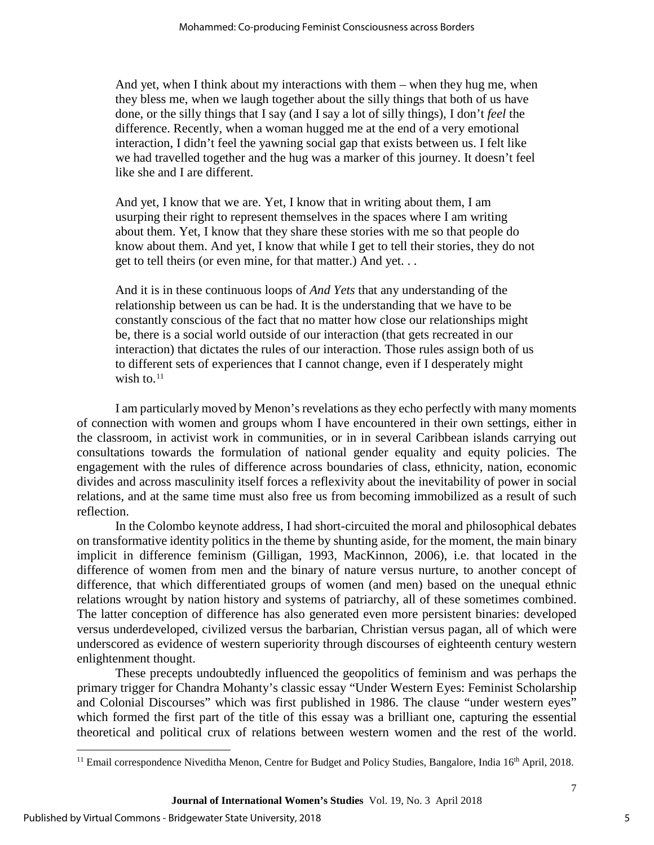And yet, when I think about my interactions with them – when they hug me, when they bless me, when we laugh together about the silly things that both of us have done, or the silly things that I say (and I say a lot of silly things), I don't *feel* the difference. Recently, when a woman hugged me at the end of a very emotional interaction, I didn't feel the yawning social gap that exists between us. I felt like we had travelled together and the hug was a marker of this journey. It doesn't feel like she and I are different.

And yet, I know that we are. Yet, I know that in writing about them, I am usurping their right to represent themselves in the spaces where I am writing about them. Yet, I know that they share these stories with me so that people do know about them. And yet, I know that while I get to tell their stories, they do not get to tell theirs (or even mine, for that matter.) And yet. . .

And it is in these continuous loops of *And Yets* that any understanding of the relationship between us can be had. It is the understanding that we have to be constantly conscious of the fact that no matter how close our relationships might be, there is a social world outside of our interaction (that gets recreated in our interaction) that dictates the rules of our interaction. Those rules assign both of us to different sets of experiences that I cannot change, even if I desperately might wish to.<sup>[11](#page-5-0)</sup>

I am particularly moved by Menon's revelations as they echo perfectly with many moments of connection with women and groups whom I have encountered in their own settings, either in the classroom, in activist work in communities, or in in several Caribbean islands carrying out consultations towards the formulation of national gender equality and equity policies. The engagement with the rules of difference across boundaries of class, ethnicity, nation, economic divides and across masculinity itself forces a reflexivity about the inevitability of power in social relations, and at the same time must also free us from becoming immobilized as a result of such reflection.

In the Colombo keynote address, I had short-circuited the moral and philosophical debates on transformative identity politics in the theme by shunting aside, for the moment, the main binary implicit in difference feminism (Gilligan, 1993, MacKinnon, 2006), i.e. that located in the difference of women from men and the binary of nature versus nurture, to another concept of difference, that which differentiated groups of women (and men) based on the unequal ethnic relations wrought by nation history and systems of patriarchy, all of these sometimes combined. The latter conception of difference has also generated even more persistent binaries: developed versus underdeveloped, civilized versus the barbarian, Christian versus pagan, all of which were underscored as evidence of western superiority through discourses of eighteenth century western enlightenment thought.

These precepts undoubtedly influenced the geopolitics of feminism and was perhaps the primary trigger for Chandra Mohanty's classic essay "Under Western Eyes: Feminist Scholarship and Colonial Discourses" which was first published in 1986. The clause "under western eyes" which formed the first part of the title of this essay was a brilliant one, capturing the essential theoretical and political crux of relations between western women and the rest of the world.

<span id="page-5-0"></span> $\overline{1}$ <sup>11</sup> Email correspondence Niveditha Menon, Centre for Budget and Policy Studies, Bangalore, India 16<sup>th</sup> April, 2018.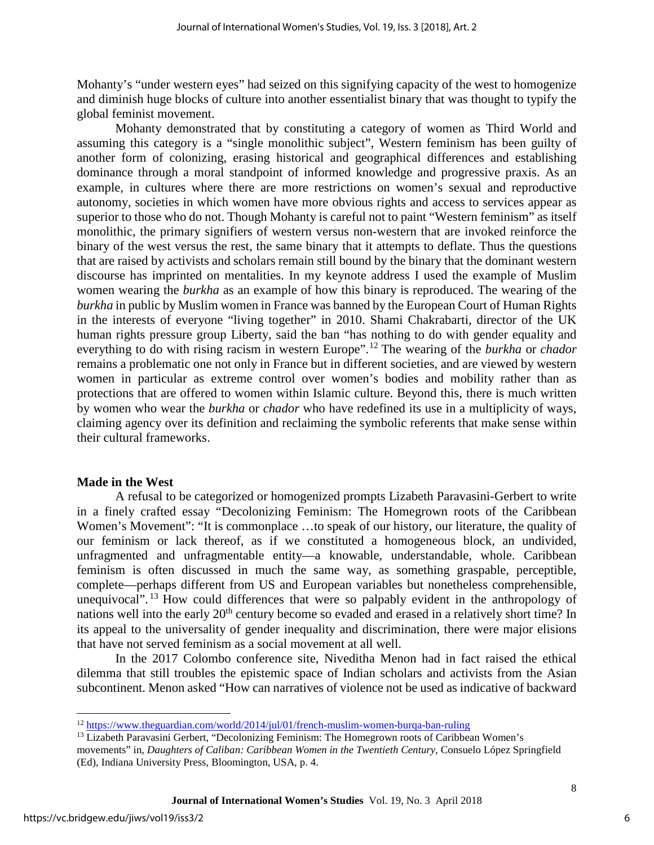Mohanty's "under western eyes" had seized on this signifying capacity of the west to homogenize and diminish huge blocks of culture into another essentialist binary that was thought to typify the global feminist movement.

Mohanty demonstrated that by constituting a category of women as Third World and assuming this category is a "single monolithic subject", Western feminism has been guilty of another form of colonizing, erasing historical and geographical differences and establishing dominance through a moral standpoint of informed knowledge and progressive praxis. As an example, in cultures where there are more restrictions on women's sexual and reproductive autonomy, societies in which women have more obvious rights and access to services appear as superior to those who do not. Though Mohanty is careful not to paint "Western feminism" as itself monolithic, the primary signifiers of western versus non-western that are invoked reinforce the binary of the west versus the rest, the same binary that it attempts to deflate. Thus the questions that are raised by activists and scholars remain still bound by the binary that the dominant western discourse has imprinted on mentalities. In my keynote address I used the example of Muslim women wearing the *burkha* as an example of how this binary is reproduced. The wearing of the *burkha* in public by Muslim women in France was banned by the European Court of Human Rights in the interests of everyone "living together" in 2010. Shami Chakrabarti, director of the UK human rights pressure group Liberty, said the ban "has nothing to do with gender equality and everything to do with rising racism in western Europe".[12](#page-6-0) The wearing of the *burkha* or *chador* remains a problematic one not only in France but in different societies, and are viewed by western women in particular as extreme control over women's bodies and mobility rather than as protections that are offered to women within Islamic culture. Beyond this, there is much written by women who wear the *burkha* or *chador* who have redefined its use in a multiplicity of ways, claiming agency over its definition and reclaiming the symbolic referents that make sense within their cultural frameworks.

#### **Made in the West**

A refusal to be categorized or homogenized prompts Lizabeth Paravasini-Gerbert to write in a finely crafted essay "Decolonizing Feminism: The Homegrown roots of the Caribbean Women's Movement": "It is commonplace …to speak of our history, our literature, the quality of our feminism or lack thereof, as if we constituted a homogeneous block, an undivided, unfragmented and unfragmentable entity—a knowable, understandable, whole. Caribbean feminism is often discussed in much the same way, as something graspable, perceptible, complete—perhaps different from US and European variables but nonetheless comprehensible, unequivocal". <sup>[13](#page-6-1)</sup> How could differences that were so palpably evident in the anthropology of nations well into the early 20<sup>th</sup> century become so evaded and erased in a relatively short time? In its appeal to the universality of gender inequality and discrimination, there were major elisions that have not served feminism as a social movement at all well.

In the 2017 Colombo conference site, Niveditha Menon had in fact raised the ethical dilemma that still troubles the epistemic space of Indian scholars and activists from the Asian subcontinent. Menon asked "How can narratives of violence not be used as indicative of backward

 $\overline{1}$ <sup>12</sup> <https://www.theguardian.com/world/2014/jul/01/french-muslim-women-burqa-ban-ruling>

<span id="page-6-1"></span><span id="page-6-0"></span><sup>&</sup>lt;sup>13</sup> Lizabeth Paravasini Gerbert, "Decolonizing Feminism: The Homegrown roots of Caribbean Women's movements" in, *Daughters of Caliban: Caribbean Women in the Twentieth Century*, Consuelo López Springfield (Ed), Indiana University Press, Bloomington, USA, p. 4.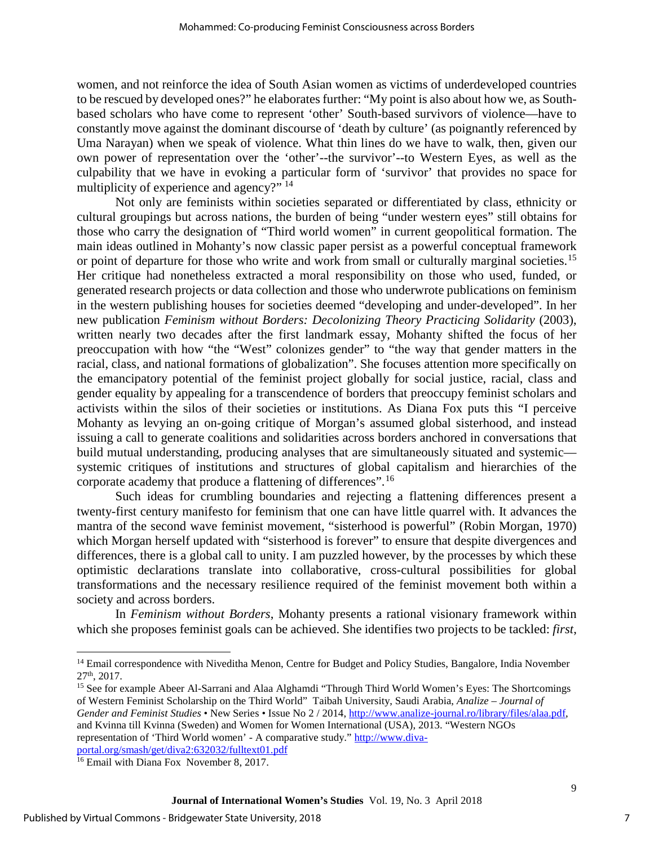women, and not reinforce the idea of South Asian women as victims of underdeveloped countries to be rescued by developed ones?" he elaborates further: "My point is also about how we, as Southbased scholars who have come to represent 'other' South-based survivors of violence—have to constantly move against the dominant discourse of 'death by culture' (as poignantly referenced by Uma Narayan) when we speak of violence. What thin lines do we have to walk, then, given our own power of representation over the 'other'--the survivor'--to Western Eyes, as well as the culpability that we have in evoking a particular form of 'survivor' that provides no space for multiplicity of experience and agency?" <sup>[14](#page-7-0)</sup>

Not only are feminists within societies separated or differentiated by class, ethnicity or cultural groupings but across nations, the burden of being "under western eyes" still obtains for those who carry the designation of "Third world women" in current geopolitical formation. The main ideas outlined in Mohanty's now classic paper persist as a powerful conceptual framework or point of departure for those who write and work from small or culturally marginal societies.<sup>[15](#page-7-1)</sup> Her critique had nonetheless extracted a moral responsibility on those who used, funded, or generated research projects or data collection and those who underwrote publications on feminism in the western publishing houses for societies deemed "developing and under-developed". In her new publication *Feminism without Borders: Decolonizing Theory Practicing Solidarity* (2003), written nearly two decades after the first landmark essay, Mohanty shifted the focus of her preoccupation with how "the "West" colonizes gender" to "the way that gender matters in the racial, class, and national formations of globalization". She focuses attention more specifically on the emancipatory potential of the feminist project globally for social justice, racial, class and gender equality by appealing for a transcendence of borders that preoccupy feminist scholars and activists within the silos of their societies or institutions. As Diana Fox puts this "I perceive Mohanty as levying an on-going critique of Morgan's assumed global sisterhood, and instead issuing a call to generate coalitions and solidarities across borders anchored in conversations that build mutual understanding, producing analyses that are simultaneously situated and systemic systemic critiques of institutions and structures of global capitalism and hierarchies of the corporate academy that produce a flattening of differences".[16](#page-7-2)

Such ideas for crumbling boundaries and rejecting a flattening differences present a twenty-first century manifesto for feminism that one can have little quarrel with. It advances the mantra of the second wave feminist movement, "sisterhood is powerful" (Robin Morgan, 1970) which Morgan herself updated with "sisterhood is forever" to ensure that despite divergences and differences, there is a global call to unity. I am puzzled however, by the processes by which these optimistic declarations translate into collaborative, cross-cultural possibilities for global transformations and the necessary resilience required of the feminist movement both within a society and across borders.

In *Feminism without Borders*, Mohanty presents a rational visionary framework within which she proposes feminist goals can be achieved. She identifies two projects to be tackled: *first*,

<span id="page-7-0"></span> $\overline{\phantom{a}}$ <sup>14</sup> Email correspondence with Niveditha Menon, Centre for Budget and Policy Studies, Bangalore, India November 27<sup>th</sup>, 2017.<br><sup>15</sup> See for example Abeer Al-Sarrani and Alaa Alghamdi "Through Third World Women's Eyes: The Shortcomings

<span id="page-7-1"></span>of Western Feminist Scholarship on the Third World" Taibah University, Saudi Arabia, *Analize – Journal of Gender and Feminist Studies* • New Series • Issue No 2 / 2014[, http://www.analize-journal.ro/library/files/alaa.pdf,](http://www.analize-journal.ro/library/files/alaa.pdf) and Kvinna till Kvinna (Sweden) and Women for Women International (USA), 2013. "Western NGOs representation of 'Third World women' - A comparative study." [http://www.diva](http://www.diva-portal.org/smash/get/diva2:632032/fulltext01.pdf)portal.org/smash/get/diva2:632032/fulltext01.pdf<br><sup>16</sup> Email with Diana Fox November 8, 2017.

<span id="page-7-2"></span>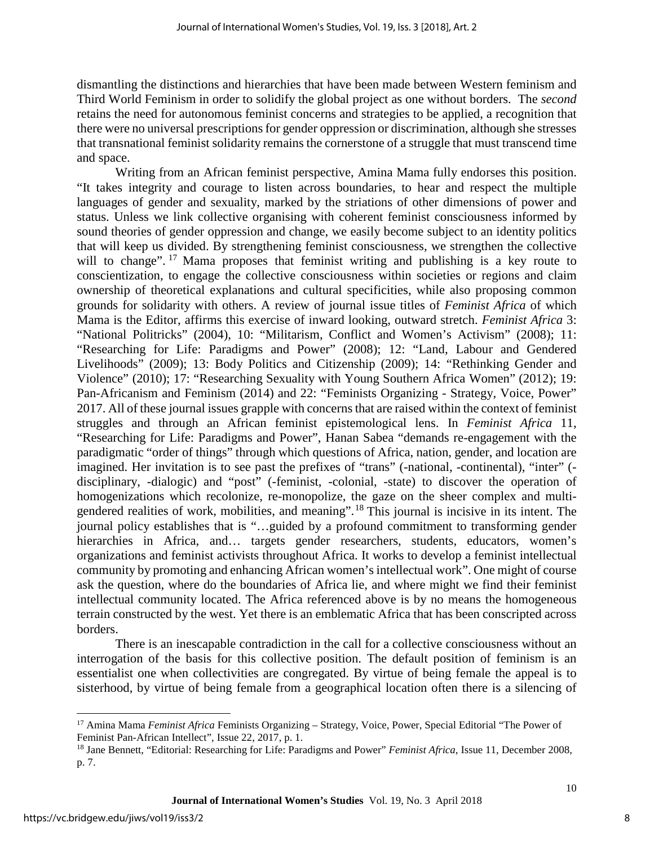dismantling the distinctions and hierarchies that have been made between Western feminism and Third World Feminism in order to solidify the global project as one without borders. The *second*  retains the need for autonomous feminist concerns and strategies to be applied, a recognition that there were no universal prescriptions for gender oppression or discrimination, although she stresses that transnational feminist solidarity remains the cornerstone of a struggle that must transcend time and space.

Writing from an African feminist perspective, Amina Mama fully endorses this position. "It takes integrity and courage to listen across boundaries, to hear and respect the multiple languages of gender and sexuality, marked by the striations of other dimensions of power and status. Unless we link collective organising with coherent feminist consciousness informed by sound theories of gender oppression and change, we easily become subject to an identity politics that will keep us divided. By strengthening feminist consciousness, we strengthen the collective will to change". <sup>[17](#page-8-0)</sup> Mama proposes that feminist writing and publishing is a key route to conscientization, to engage the collective consciousness within societies or regions and claim ownership of theoretical explanations and cultural specificities, while also proposing common grounds for solidarity with others. A review of journal issue titles of *Feminist Africa* of which Mama is the Editor, affirms this exercise of inward looking, outward stretch. *Feminist Africa* 3: "National Politricks" (2004), 10: "Militarism, Conflict and Women's Activism" (2008); 11: "Researching for Life: Paradigms and Power" (2008); 12: "Land, Labour and Gendered Livelihoods" (2009); 13: Body Politics and Citizenship (2009); 14: "Rethinking Gender and Violence" (2010); 17: "Researching Sexuality with Young Southern Africa Women" (2012); 19: Pan-Africanism and Feminism (2014) and 22: "Feminists Organizing - Strategy, Voice, Power" 2017. All of these journal issues grapple with concerns that are raised within the context of feminist struggles and through an African feminist epistemological lens. In *Feminist Africa* 11, "Researching for Life: Paradigms and Power", Hanan Sabea "demands re-engagement with the paradigmatic "order of things" through which questions of Africa, nation, gender, and location are imagined. Her invitation is to see past the prefixes of "trans" (-national, -continental), "inter" ( disciplinary, -dialogic) and "post" (-feminist, -colonial, -state) to discover the operation of homogenizations which recolonize, re-monopolize, the gaze on the sheer complex and multigendered realities of work, mobilities, and meaning".[18](#page-8-1) This journal is incisive in its intent. The journal policy establishes that is "…guided by a profound commitment to transforming gender hierarchies in Africa, and... targets gender researchers, students, educators, women's organizations and feminist activists throughout Africa. It works to develop a feminist intellectual community by promoting and enhancing African women's intellectual work". One might of course ask the question, where do the boundaries of Africa lie, and where might we find their feminist intellectual community located. The Africa referenced above is by no means the homogeneous terrain constructed by the west. Yet there is an emblematic Africa that has been conscripted across borders.

There is an inescapable contradiction in the call for a collective consciousness without an interrogation of the basis for this collective position. The default position of feminism is an essentialist one when collectivities are congregated. By virtue of being female the appeal is to sisterhood, by virtue of being female from a geographical location often there is a silencing of

<span id="page-8-0"></span> $\overline{1}$ <sup>17</sup> Amina Mama *Feminist Africa* Feminists Organizing – Strategy, Voice, Power, Special Editorial "The Power of Feminist Pan-African Intellect", Issue 22, 2017, p. 1.<br><sup>18</sup> Jane Bennett, "Editorial: Researching for Life: Paradigms and Power" *Feminist Africa*, Issue 11, December 2008,

<span id="page-8-1"></span>p. 7.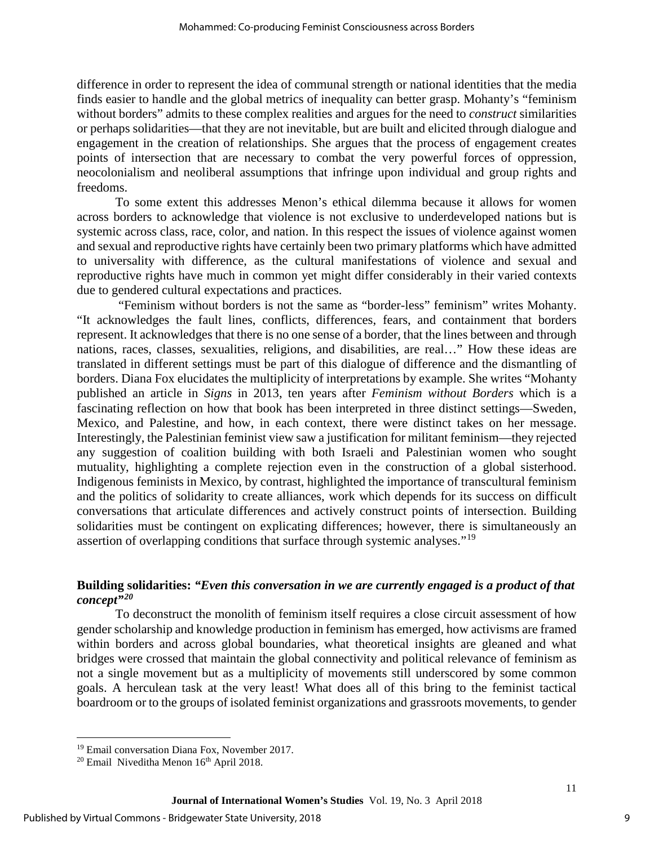difference in order to represent the idea of communal strength or national identities that the media finds easier to handle and the global metrics of inequality can better grasp. Mohanty's "feminism without borders" admits to these complex realities and argues for the need to *construct* similarities or perhaps solidarities—that they are not inevitable, but are built and elicited through dialogue and engagement in the creation of relationships. She argues that the process of engagement creates points of intersection that are necessary to combat the very powerful forces of oppression, neocolonialism and neoliberal assumptions that infringe upon individual and group rights and freedoms.

To some extent this addresses Menon's ethical dilemma because it allows for women across borders to acknowledge that violence is not exclusive to underdeveloped nations but is systemic across class, race, color, and nation. In this respect the issues of violence against women and sexual and reproductive rights have certainly been two primary platforms which have admitted to universality with difference, as the cultural manifestations of violence and sexual and reproductive rights have much in common yet might differ considerably in their varied contexts due to gendered cultural expectations and practices.

 "Feminism without borders is not the same as "border-less" feminism" writes Mohanty. "It acknowledges the fault lines, conflicts, differences, fears, and containment that borders represent. It acknowledges that there is no one sense of a border, that the lines between and through nations, races, classes, sexualities, religions, and disabilities, are real…" How these ideas are translated in different settings must be part of this dialogue of difference and the dismantling of borders. Diana Fox elucidates the multiplicity of interpretations by example. She writes "Mohanty published an article in *Signs* in 2013, ten years after *Feminism without Borders* which is a fascinating reflection on how that book has been interpreted in three distinct settings—Sweden, Mexico, and Palestine, and how, in each context, there were distinct takes on her message. Interestingly, the Palestinian feminist view saw a justification for militant feminism—they rejected any suggestion of coalition building with both Israeli and Palestinian women who sought mutuality, highlighting a complete rejection even in the construction of a global sisterhood. Indigenous feminists in Mexico, by contrast, highlighted the importance of transcultural feminism and the politics of solidarity to create alliances, work which depends for its success on difficult conversations that articulate differences and actively construct points of intersection. Building solidarities must be contingent on explicating differences; however, there is simultaneously an assertion of overlapping conditions that surface through systemic analyses."[19](#page-9-0)

### **Building solidarities:** *"Even this conversation in we are currently engaged is a product of that concept"[20](#page-9-1)*

To deconstruct the monolith of feminism itself requires a close circuit assessment of how gender scholarship and knowledge production in feminism has emerged, how activisms are framed within borders and across global boundaries, what theoretical insights are gleaned and what bridges were crossed that maintain the global connectivity and political relevance of feminism as not a single movement but as a multiplicity of movements still underscored by some common goals. A herculean task at the very least! What does all of this bring to the feminist tactical boardroom or to the groups of isolated feminist organizations and grassroots movements, to gender

 $\overline{a}$ <sup>19</sup> Email conversation Diana Fox, November 2017.

<span id="page-9-1"></span><span id="page-9-0"></span> $20$  Email Niveditha Menon  $16<sup>th</sup>$  April 2018.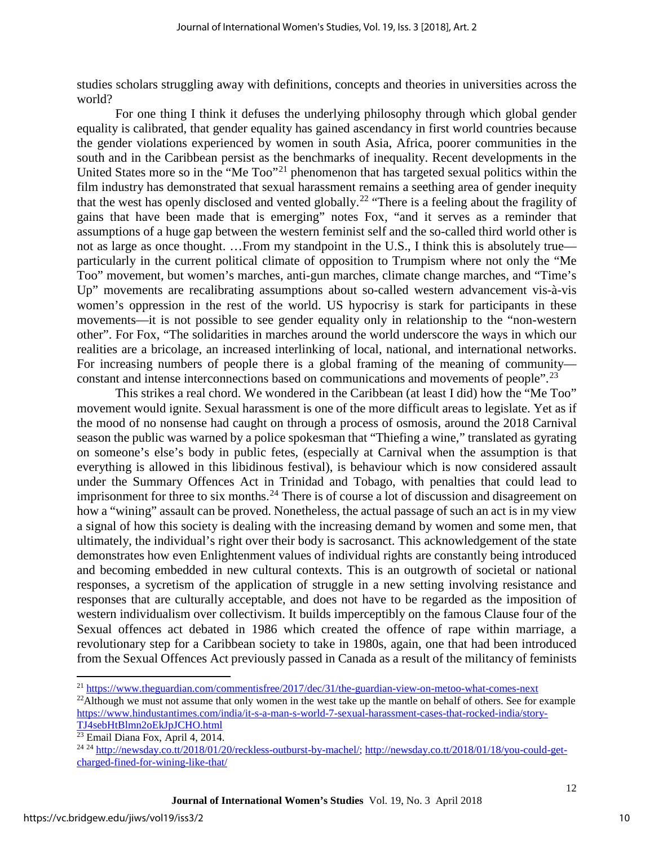studies scholars struggling away with definitions, concepts and theories in universities across the world?

For one thing I think it defuses the underlying philosophy through which global gender equality is calibrated, that gender equality has gained ascendancy in first world countries because the gender violations experienced by women in south Asia, Africa, poorer communities in the south and in the Caribbean persist as the benchmarks of inequality. Recent developments in the United States more so in the "Me Too"<sup>[21](#page-10-0)</sup> phenomenon that has targeted sexual politics within the film industry has demonstrated that sexual harassment remains a seething area of gender inequity that the west has openly disclosed and vented globally.<sup>[22](#page-10-1)</sup> "There is a feeling about the fragility of gains that have been made that is emerging" notes Fox, "and it serves as a reminder that assumptions of a huge gap between the western feminist self and the so-called third world other is not as large as once thought. …From my standpoint in the U.S., I think this is absolutely true particularly in the current political climate of opposition to Trumpism where not only the "Me Too" movement, but women's marches, anti-gun marches, climate change marches, and "Time's Up" movements are recalibrating assumptions about so-called western advancement vis-à-vis women's oppression in the rest of the world. US hypocrisy is stark for participants in these movements—it is not possible to see gender equality only in relationship to the "non-western other". For Fox, "The solidarities in marches around the world underscore the ways in which our realities are a bricolage, an increased interlinking of local, national, and international networks. For increasing numbers of people there is a global framing of the meaning of community— constant and intense interconnections based on communications and movements of people".<sup>[23](#page-10-2)</sup>

This strikes a real chord. We wondered in the Caribbean (at least I did) how the "Me Too" movement would ignite. Sexual harassment is one of the more difficult areas to legislate. Yet as if the mood of no nonsense had caught on through a process of osmosis, around the 2018 Carnival season the public was warned by a police spokesman that "Thiefing a wine," translated as gyrating on someone's else's body in public fetes, (especially at Carnival when the assumption is that everything is allowed in this libidinous festival), is behaviour which is now considered assault under the Summary Offences Act in Trinidad and Tobago, with penalties that could lead to imprisonment for three to six months.<sup>[24](#page-10-3)</sup> There is of course a lot of discussion and disagreement on how a "wining" assault can be proved. Nonetheless, the actual passage of such an act is in my view a signal of how this society is dealing with the increasing demand by women and some men, that ultimately, the individual's right over their body is sacrosanct. This acknowledgement of the state demonstrates how even Enlightenment values of individual rights are constantly being introduced and becoming embedded in new cultural contexts. This is an outgrowth of societal or national responses, a sycretism of the application of struggle in a new setting involving resistance and responses that are culturally acceptable, and does not have to be regarded as the imposition of western individualism over collectivism. It builds imperceptibly on the famous Clause four of the Sexual offences act debated in 1986 which created the offence of rape within marriage, a revolutionary step for a Caribbean society to take in 1980s, again, one that had been introduced from the Sexual Offences Act previously passed in Canada as a result of the militancy of feminists

 $\overline{\phantom{a}}$ <sup>21</sup> <https://www.theguardian.com/commentisfree/2017/dec/31/the-guardian-view-on-metoo-what-comes-next>

<span id="page-10-1"></span><span id="page-10-0"></span> $^{22}$ Although we must not assume that only women in the west take up the mantle on behalf of others. See for example [https://www.hindustantimes.com/india/it-s-a-man-s-world-7-sexual-harassment-cases-that-rocked-india/story-](https://www.hindustantimes.com/india/it-s-a-man-s-world-7-sexual-harassment-cases-that-rocked-india/story-TJ4sebHtBlmn2oEkJpJCHO.html)[TJ4sebHtBlmn2oEkJpJCHO.html](https://www.hindustantimes.com/india/it-s-a-man-s-world-7-sexual-harassment-cases-that-rocked-india/story-TJ4sebHtBlmn2oEkJpJCHO.html)

<span id="page-10-2"></span><sup>&</sup>lt;sup>23</sup> Email Diana Fox, April 4, 2014.

<span id="page-10-3"></span><sup>24</sup> <sup>24</sup> [http://newsday.co.tt/2018/01/20/reckless-outburst-by-machel/;](http://newsday.co.tt/2018/01/20/reckless-outburst-by-machel/) [http://newsday.co.tt/2018/01/18/you-could-get](http://newsday.co.tt/2018/01/18/you-could-get-charged-fined-for-wining-like-that/)[charged-fined-for-wining-like-that/](http://newsday.co.tt/2018/01/18/you-could-get-charged-fined-for-wining-like-that/)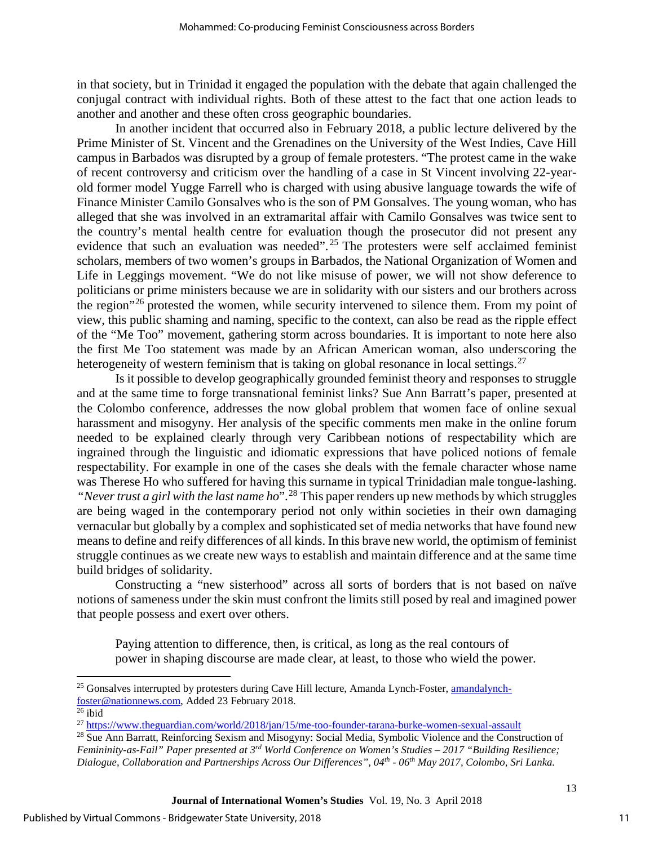in that society, but in Trinidad it engaged the population with the debate that again challenged the conjugal contract with individual rights. Both of these attest to the fact that one action leads to another and another and these often cross geographic boundaries.

In another incident that occurred also in February 2018, a public lecture delivered by the Prime Minister of St. Vincent and the Grenadines on the University of the West Indies, Cave Hill campus in Barbados was disrupted by a group of female protesters. "The protest came in the wake of recent controversy and criticism over the handling of a case in St Vincent involving 22-yearold former model Yugge Farrell who is charged with using abusive language towards the wife of Finance Minister Camilo Gonsalves who is the son of PM Gonsalves. The young woman, who has alleged that she was involved in an extramarital affair with Camilo Gonsalves was twice sent to the country's mental health centre for evaluation though the prosecutor did not present any evidence that such an evaluation was needed".<sup>[25](#page-11-0)</sup> The protesters were self acclaimed feminist scholars, members of two women's groups in Barbados, the National Organization of Women and Life in Leggings movement. "We do not like misuse of power, we will not show deference to politicians or prime ministers because we are in solidarity with our sisters and our brothers across the region"<sup>[26](#page-11-1)</sup> protested the women, while security intervened to silence them. From my point of view, this public shaming and naming, specific to the context, can also be read as the ripple effect of the "Me Too" movement, gathering storm across boundaries. It is important to note here also the first Me Too statement was made by an African American woman, also underscoring the heterogeneity of western feminism that is taking on global resonance in local settings.<sup>[27](#page-11-2)</sup>

Is it possible to develop geographically grounded feminist theory and responses to struggle and at the same time to forge transnational feminist links? Sue Ann Barratt's paper, presented at the Colombo conference, addresses the now global problem that women face of online sexual harassment and misogyny. Her analysis of the specific comments men make in the online forum needed to be explained clearly through very Caribbean notions of respectability which are ingrained through the linguistic and idiomatic expressions that have policed notions of female respectability. For example in one of the cases she deals with the female character whose name was Therese Ho who suffered for having this surname in typical Trinidadian male tongue-lashing. *"Never trust a girl with the last name ho*".[28](#page-11-3) This paper renders up new methods by which struggles are being waged in the contemporary period not only within societies in their own damaging vernacular but globally by a complex and sophisticated set of media networks that have found new means to define and reify differences of all kinds. In this brave new world, the optimism of feminist struggle continues as we create new ways to establish and maintain difference and at the same time build bridges of solidarity.

Constructing a "new sisterhood" across all sorts of borders that is not based on naïve notions of sameness under the skin must confront the limits still posed by real and imagined power that people possess and exert over others.

Paying attention to difference, then, is critical, as long as the real contours of power in shaping discourse are made clear, at least, to those who wield the power.

<span id="page-11-0"></span> $\overline{\phantom{a}}$ <sup>25</sup> Gonsalves interrupted by protesters during Cave Hill lecture, Amanda Lynch-Foster, [amandalynch](mailto:amandalynch-foster@nationnews.com)[foster@nationnews.com,](mailto:amandalynch-foster@nationnews.com) Added 23 February 2018. 26 ibid

<span id="page-11-1"></span>

<sup>27</sup> <https://www.theguardian.com/world/2018/jan/15/me-too-founder-tarana-burke-women-sexual-assault>

<span id="page-11-3"></span><span id="page-11-2"></span><sup>28</sup> Sue Ann Barratt, Reinforcing Sexism and Misogyny: Social Media, Symbolic Violence and the Construction of *Femininity-as-Fail" Paper presented at 3rd World Conference on Women's Studies – 2017 "Building Resilience; Dialogue, Collaboration and Partnerships Across Our Differences", 04th - 06th May 2017, Colombo, Sri Lanka.*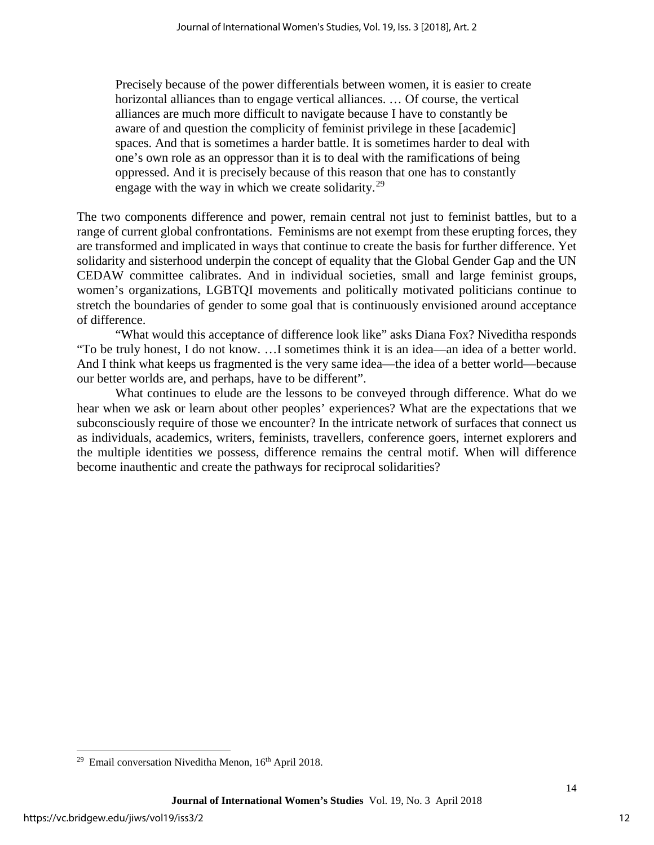Precisely because of the power differentials between women, it is easier to create horizontal alliances than to engage vertical alliances. … Of course, the vertical alliances are much more difficult to navigate because I have to constantly be aware of and question the complicity of feminist privilege in these [academic] spaces. And that is sometimes a harder battle. It is sometimes harder to deal with one's own role as an oppressor than it is to deal with the ramifications of being oppressed. And it is precisely because of this reason that one has to constantly engage with the way in which we create solidarity.<sup>[29](#page-12-0)</sup>

The two components difference and power, remain central not just to feminist battles, but to a range of current global confrontations. Feminisms are not exempt from these erupting forces, they are transformed and implicated in ways that continue to create the basis for further difference. Yet solidarity and sisterhood underpin the concept of equality that the Global Gender Gap and the UN CEDAW committee calibrates. And in individual societies, small and large feminist groups, women's organizations, LGBTQI movements and politically motivated politicians continue to stretch the boundaries of gender to some goal that is continuously envisioned around acceptance of difference.

"What would this acceptance of difference look like" asks Diana Fox? Niveditha responds "To be truly honest, I do not know. …I sometimes think it is an idea—an idea of a better world. And I think what keeps us fragmented is the very same idea—the idea of a better world—because our better worlds are, and perhaps, have to be different".

What continues to elude are the lessons to be conveyed through difference. What do we hear when we ask or learn about other peoples' experiences? What are the expectations that we subconsciously require of those we encounter? In the intricate network of surfaces that connect us as individuals, academics, writers, feminists, travellers, conference goers, internet explorers and the multiple identities we possess, difference remains the central motif. When will difference become inauthentic and create the pathways for reciprocal solidarities?

<span id="page-12-0"></span> $\overline{\phantom{a}}$  $29$  Email conversation Niveditha Menon,  $16<sup>th</sup>$  April 2018.